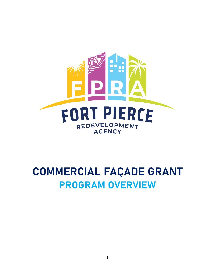

## **COMMERCIAL FAÇADE GRANT PROGRAM OVERVIEW**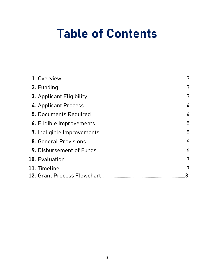# **Table of Contents**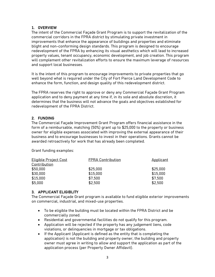#### **1. OVERVIEW**

The intent of the Commercial Façade Grant Program is to support the revitalization of the commercial corridors in the FPRA district by stimulating private investment in improvements that enhance the appearance of buildings and properties and eliminate blight and non-conforming design standards. This program is designed to encourage redevelopment of the FPRA by enhancing its visual aesthetics which will lead to increased property values, tenant occupancy, economic development, and job creation. This program will complement other revitalization efforts to ensure the maximum leverage of resources and support local businesses.

It is the intent of this program to encourage improvements to private properties that go well beyond what is required under the City of Fort Pierce Land Development Code to enhance the form, function, and design quality of this redevelopment district.

The FPRA reserves the right to approve or deny any Commercial Façade Grant Program application and to deny payment at any time if, in its sole and absolute discretion, it determines that the business will not advance the goals and objectives established for redevelopment of the FPRA District.

#### **2. FUNDING**

The Commercial Façade Improvement Grant Program offers financial assistance in the form of a reimbursable, matching (50%) grant up to \$25,000 to the property or business owner for eligible expenses associated with improving the external appearance of their business and to encourage businesses to invest in their operations. Grants cannot be awarded retroactively for work that has already been completed.

Grant funding examples:

| <b>Eligible Project Cost</b> | <b>FPRA Contribution</b> | Applicant |
|------------------------------|--------------------------|-----------|
| Contribution                 |                          |           |
| \$50,000                     | \$25,000                 | \$25,000  |
| \$30,000                     | \$15,000                 | \$15,000  |
| \$15,000                     | \$7,500                  | \$7,500   |
| \$5,000                      | \$2,500                  | \$2,500   |

#### **3. APPLICANT ELIGIBLITY**

The Commercial Façade Grant program is available to fund eligible exterior improvements on commercial, industrial, and mixed-use properties.

- To be eligible the building must be located within the FPRA District and be commercially zoned.
- Residential and governmental facilities do not qualify for this program.
- Application will be rejected if the property has any judgement liens, code violations, or delinquencies in mortgage or tax obligations.
- If the Applicant (Applicant is defined as the entity that is completing the application) is not the building and property owner, the building and property owner must agree in writing to allow and support the application as part of the application process (per Property Owner Affidavit).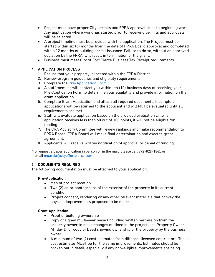- Project must have proper City permits and FPRA approval prior to beginning work. Any application where work has started prior to receiving permits and approvals will be rejected.
- A project timeline must be provided with the application. The Project must be started within six (6) months from the date of FPRA Board approval and completed within 12 months of building permit issuance. Failure to do so, without an approved deviation by the FPRA, will result in termination of the grant.
- Business must meet City of Fort Pierce Business Tax Receipt requirements.

#### **4. APPLICATION PROCESS**

- 1. Ensure that your property is located within the FPRA District.
- 2. Review program guidelines and eligibility requirements.
- 3. Complete the [Pre-Application Form.](https://choosefortpierce.com/FormCenter/Economic-Development-Incentive-Program-18/COMMERCIAL-FACADE-GRANT-PROGRAM-PREAPPLI-91)
- 4. A staff member will contact you within ten (10) business days of receiving your Pre-Application Form to determine your eligibility and provide information on the grant application.
- 5. Complete Grant Application and attach all required documents. Incomplete applications will be returned to the applicant and will NOT be evaluated until all requirements are met.
- 6. Staff will evaluate application based on the provided evaluation criteria. If application receives less than 60 out of 100 points, it will not be eligible for funding.
- 7. The CRA Advisory Committee will review rankings and make recommendation to FPRA Board. FPRA Board will make final determination and execute grant agreement.
- 8. Applicants will receive written notification of approval or denial of funding.

\*To request a paper application in person or in the mail, please call 772-828-1861 or email [mgarcia@cityoffortpierce.com](mailto:mgarcia@cityoffortpierce.com)

#### **5. DOCUMENTS REQUIRED**

The following documentation must be attached to your application.

#### **Pre-Application**

- Map of project location.
- Two (2) color photographs of the exterior of the property in its current condition.
- Project concept, rendering or any other relevant materials that convey the physical improvements proposed to be made.

#### **Grant Application**

- Proof of building ownership
- Copy of signed multi-year lease (including written permission from the property owner to make changes outlined in the project, see Property Owner Affidavit), or copy of Deed showing ownership of the property by the business owner.
- A minimum of two (2) cost estimates from different licensed contractors. These cost estimates MUST be for the same improvements. Estimates should be broken out in detail, especially if any non-eligible improvements are being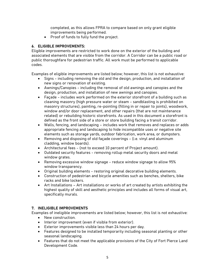completed, as this allows FPRA to compare based on only grant eligible improvements being performed.

• Proof of funds to fully fund the project.

#### **6. ELIGIBLE IMPROVEMENTS:**

Eligible improvements are restricted to work done on the exterior of the building and associated elements that are visible from the corridor. A Corridor can be a public road or public thoroughfare for pedestrian traffic. All work must be performed to applicable codes.

Examples of eligible improvements are listed below; however, this list is not exhaustive:

- Signs including removing the old and the design, production, and installation of new signs or renovation of existing.
- Awnings/Canopies including the removal of old awnings and canopies and the design, production, and installation of new awnings and canopies.
- Façade includes work performed on the exterior storefront of a building such as cleaning masonry (high pressure water or steam - sandblasting is prohibited on masonry structures), painting, re-pointing (filling in or repair to joints), woodwork, window and/or door replacement, and other repairs (that are not maintenance related) or rebuilding historic storefronts. As used in this document a storefront is defined as the front side of a store or store building facing a transit corridor.
- Walls, fencing, and landscaping includes work that removes and replaces or adds appropriate fencing and landscaping to hide incompatible uses or negative site elements such as storage yards, outdoor fabrication, work area, or dumpsters.
- Removing and disposing of old façade coverings (i.e. vinyl and aluminum cladding, window boards).
- Architectural fees (not to exceed 10 percent of Project amount).
- Outdated security features removing rollup metal security doors and metal window grates.
- Removing excessive window signage reduce window signage to allow 95% window transparency.
- Original building elements restoring original decorative building elements.
- Construction of pedestrian and bicycle amenities such as benches, shelters, bike racks and bike lockers.
- Art Installations Art installations or works of art created by artists exhibiting the highest quality of skill and aesthetic principles and includes all forms of visual art, specifically murals.

#### **7. INELIGIBLE IMPROVEMENTS**

Examples of ineligible improvements are listed below; however, this list is not exhaustive:

- New construction.
- Interior improvement (even if visible from exterior).
- Exterior improvements visible less than 24 hours per day.
- Features designed to be installed temporarily including seasonal planting or other seasonal landscaping.
- Features that do not meet the applicable provisions of the City of Fort Pierce Land Development Code.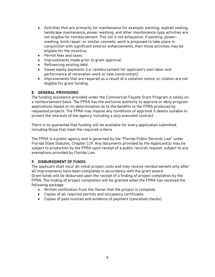- Activities that are primarily for maintenance for example: painting, asphalt sealing, landscape maintenance, power washing, and other maintenance-type activities are not eligible for reimbursement. This list is not exhaustive. If painting, powerwashing, brick repair, or similar cosmetic work is proposed to take place in conjunction with significant exterior enhancements, then those activities may be eligible for the incentive.
- Permit fees and taxes.
- Improvements made prior to grant approval.
- Refinancing existing debt.
- Sweat equity payments (i.e. reimbursement for applicant's own labor and performance of renovation work or new construction).
- Improvements that are required as a result of a violation notice, or citation are not eligible for grant funding.

#### **8. GENERAL PROVISIONS**

The funding assistance provided under the Commercial Façade Grant Program is solely on a reimbursement basis. The FPRA has the exclusive authority to approve or deny program applications based on its determination as to the benefits to the FPRA produced by requested projects. The FPRA may impose any conditions of approval it deems suitable to protect the interests of the agency, including a duly executed contract.

There is no guarantee that funding will be available for every application submitted, including those that meet the required criteria.

The FPRA is a public agency and is governed by the "Florida Public Records Law" under Florida State Statutes, Chapter 119. Any documents provided by the Applicant(s) may be subject to production by the FPRA upon receipt of a public records request, subject to any exemptions provided by Florida Law.

#### **9. DISBURSEMENT OF FUNDS**

The applicant shall incur all initial project costs and may receive reimbursement only after all improvements have been completed in accordance with the grant award. Grant funds will be disbursed upon the receipt of a finding of project completion by the FPRA. The finding of project completion will be granted when the FPRA has received the following package:

- Written notification from the Owner that the project is complete.
- Copies of all required permits and occupancy certificates.
- Copies of paid invoices and evidence of payment (cancelled checks)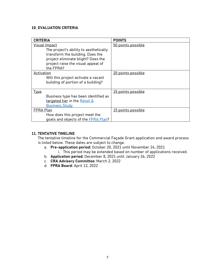#### **10. EVALUATION CRITERIA**

| <b>CRITERIA</b>                                                                                                                                                                             | <b>POINTS</b>      |
|---------------------------------------------------------------------------------------------------------------------------------------------------------------------------------------------|--------------------|
| <b>Visual Impact</b><br>The project's ability to aesthetically<br>transform the building. Does the<br>project eliminate blight? Does the<br>project raise the visual appeal of<br>the FPRA? | 50 points possible |
| Activation<br>Will this project activate a vacant<br>building of portion of a building?                                                                                                     | 20 points possible |
| <b>Type</b><br>Business type has been identified as<br>targeted tier in the Retail &<br><b>Business Study</b>                                                                               | 15 points possible |
| FPRA Plan<br>How does this project meet the<br>goals and objects of the <b>FPRA Plan?</b>                                                                                                   | 15 points possible |

#### **11. TENTATIVE TIMELINE**

The tentative timeline for the Commercial Façade Grant application and award process is listed below. These dates are subject to change.

- a. **Pre-application period:** October 20, 2021 until November 24, 2021
	- i. This period may be extended based on number of applications received.
- b. **Application period:** December 8, 2021 until January 26, 2022
- c. **CRA Advisory Committee:** March 2, 2022
- d. **FPRA Board:** April 12, 2022